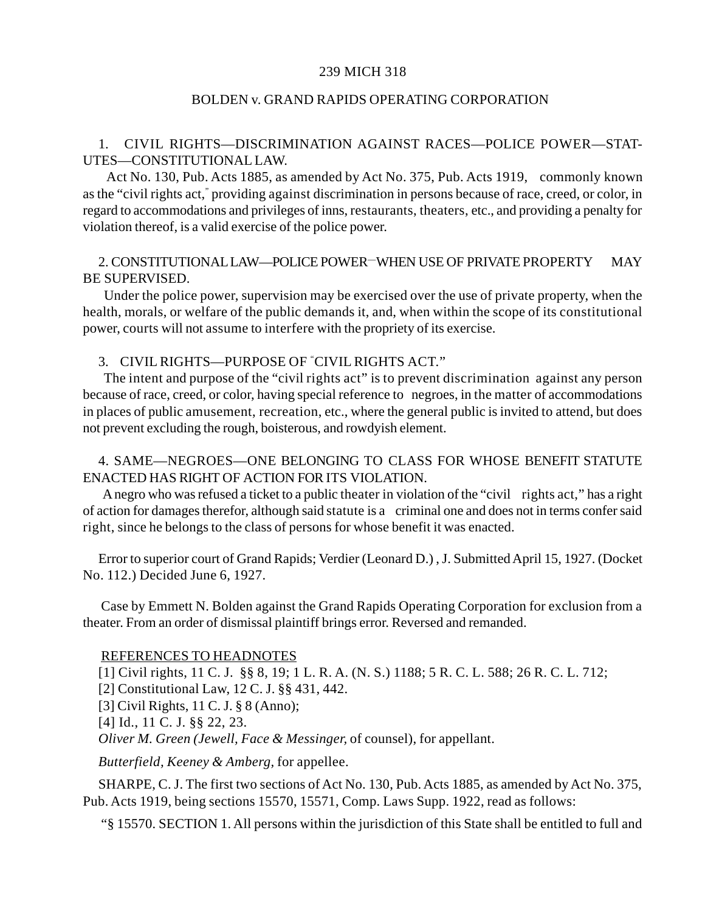### 239 MICH 318

### BOLDEN v. GRAND RAPIDS OPERATING CORPORATION

## 1. CIVIL RIGHTS—DISCRIMINATION AGAINST RACES—POLICE POWER—STAT-UTES—CONSTITUTIONAL LAW.

 Act No. 130, Pub. Acts 1885, as amended by Act No. 375, Pub. Acts 1919, commonly known as the "civil rights act," providing against discrimination in persons because of race, creed, or color, in regard to accommodations and privileges of inns, restaurants, theaters, etc., and providing a penalty for violation thereof, is a valid exercise of the police power.

### 2. CONSTITUTIONAL LAW—POLICE POWER—WHEN USE OF PRIVATE PROPERTY MAY BE SUPERVISED.

 Under the police power, supervision may be exercised over the use of private property, when the health, morals, or welfare of the public demands it, and, when within the scope of its constitutional power, courts will not assume to interfere with the propriety of its exercise.

### 3. CIVIL RIGHTS—PURPOSE OF " CIVIL RIGHTS ACT."

 The intent and purpose of the "civil rights act" is to prevent discrimination against any person because of race, creed, or color, having special reference to negroes, in the matter of accommodations in places of public amusement, recreation, etc., where the general public is invited to attend, but does not prevent excluding the rough, boisterous, and rowdyish element.

# 4. SAME—NEGROES—ONE BELONGING TO CLASS FOR WHOSE BENEFIT STATUTE ENACTED HAS RIGHT OF ACTION FOR ITS VIOLATION.

 A negro who was refused a ticket to a public theater in violation of the "civil rights act," has a right of action for damages therefor, although said statute is a criminal one and does not in terms confer said right, since he belongs to the class of persons for whose benefit it was enacted.

Error to superior court of Grand Rapids; Verdier (Leonard D.) , J. Submitted April 15, 1927. (Docket No. 112.) Decided June 6, 1927.

 Case by Emmett N. Bolden against the Grand Rapids Operating Corporation for exclusion from a theater. From an order of dismissal plaintiff brings error. Reversed and remanded.

### REFERENCES TO HEADNOTES

[1] Civil rights, 11 C. J. §§ 8, 19; 1 L. R. A. (N. S.) 1188; 5 R. C. L. 588; 26 R. C. L. 712;

[2] Constitutional Law, 12 C. J. §§ 431, 442.

[3] Civil Rights, 11 C. J. § 8 (Anno);

[4] Id., 11 C. J. §§ 22, 23.

*Oliver M. Green (Jewell, Face & Messinger,* of counsel), for appellant.

*Butterfield, Keeney & Amberg,* for appellee.

SHARPE, C. J. The first two sections of Act No. 130, Pub. Acts 1885, as amended by Act No. 375, Pub. Acts 1919, being sections 15570, 15571, Comp. Laws Supp. 1922, read as follows:

"§ 15570. SECTION 1. All persons within the jurisdiction of this State shall be entitled to full and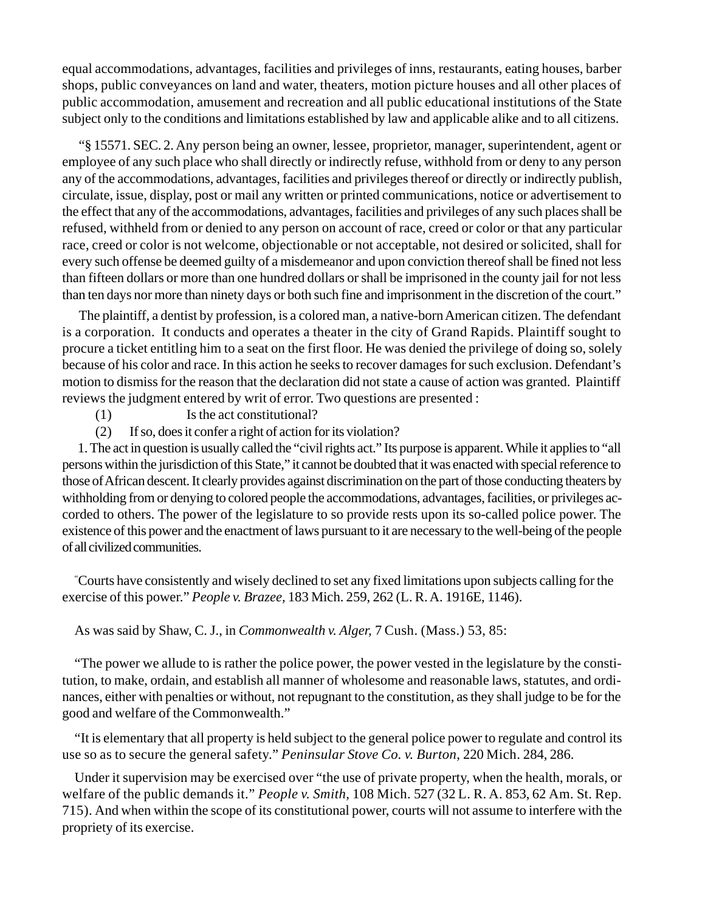equal accommodations, advantages, facilities and privileges of inns, restaurants, eating houses, barber shops, public conveyances on land and water, theaters, motion picture houses and all other places of public accommodation, amusement and recreation and all public educational institutions of the State subject only to the conditions and limitations established by law and applicable alike and to all citizens.

"§ 15571. SEC. 2. Any person being an owner, lessee, proprietor, manager, superintendent, agent or employee of any such place who shall directly or indirectly refuse, withhold from or deny to any person any of the accommodations, advantages, facilities and privileges thereof or directly or indirectly publish, circulate, issue, display, post or mail any written or printed communications, notice or advertisement to the effect that any of the accommodations, advantages, facilities and privileges of any such places shall be refused, withheld from or denied to any person on account of race, creed or color or that any particular race, creed or color is not welcome, objectionable or not acceptable, not desired or solicited, shall for every such offense be deemed guilty of a misdemeanor and upon conviction thereof shall be fined not less than fifteen dollars or more than one hundred dollars or shall be imprisoned in the county jail for not less than ten days nor more than ninety days or both such fine and imprisonment in the discretion of the court."

The plaintiff, a dentist by profession, is a colored man, a native-born American citizen. The defendant is a corporation. It conducts and operates a theater in the city of Grand Rapids. Plaintiff sought to procure a ticket entitling him to a seat on the first floor. He was denied the privilege of doing so, solely because of his color and race. In this action he seeks to recover damages for such exclusion. Defendant's motion to dismiss for the reason that the declaration did not state a cause of action was granted. Plaintiff reviews the judgment entered by writ of error. Two questions are presented :

- (1) Is the act constitutional?
- (2) If so, does it confer a right of action for its violation?

1. The act in question is usually called the "civil rights act." Its purpose is apparent. While it applies to "all persons within the jurisdiction of this State," it cannot be doubted that it was enacted with special reference to those of African descent. It clearly provides against discrimination on the part of those conducting theaters by withholding from or denying to colored people the accommodations, advantages, facilities, or privileges accorded to others. The power of the legislature to so provide rests upon its so-called police power. The existence of this power and the enactment of laws pursuant to it are necessary to the well-being of the people of all civilized communities.

" Courts have consistently and wisely declined to set any fixed limitations upon subjects calling for the exercise of this power." *People v. Brazee,* 183 Mich. 259, 262 (L. R. A. 1916E, 1146).

As was said by Shaw, C. J., in *Commonwealth v. Alger,* 7 Cush. (Mass.) 53, 85:

"The power we allude to is rather the police power, the power vested in the legislature by the constitution, to make, ordain, and establish all manner of wholesome and reasonable laws, statutes, and ordinances, either with penalties or without, not repugnant to the constitution, as they shall judge to be for the good and welfare of the Commonwealth."

"It is elementary that all property is held subject to the general police power to regulate and control its use so as to secure the general safety." *Peninsular Stove Co. v. Burton,* 220 Mich. 284, 286.

Under it supervision may be exercised over "the use of private property, when the health, morals, or welfare of the public demands it." *People v. Smith,* 108 Mich. 527 (32 L. R. A. 853, 62 Am. St. Rep. 715). And when within the scope of its constitutional power, courts will not assume to interfere with the propriety of its exercise.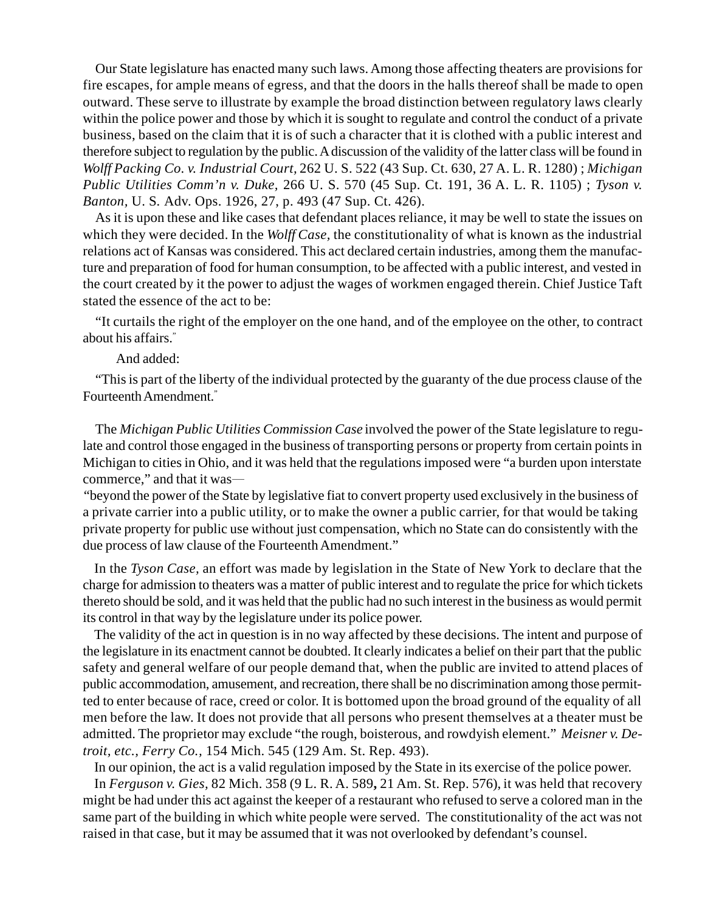Our State legislature has enacted many such laws. Among those affecting theaters are provisions for fire escapes, for ample means of egress, and that the doors in the halls thereof shall be made to open outward. These serve to illustrate by example the broad distinction between regulatory laws clearly within the police power and those by which it is sought to regulate and control the conduct of a private business, based on the claim that it is of such a character that it is clothed with a public interest and therefore subject to regulation by the public. A discussion of the validity of the latter class will be found in *Wolff Packing Co. v. Industrial Court,* 262 U. S. 522 (43 Sup. Ct. 630, 27 A. L. R. 1280) ; *Michigan Public Utilities Comm'n v. Duke,* 266 U. S. 570 (45 Sup. Ct. 191, 36 A. L. R. 1105) ; *Tyson v. Banton,* U. S*.* Adv. Ops. 1926, 27, p. 493 (47 Sup. Ct. 426).

As it is upon these and like cases that defendant places reliance, it may be well to state the issues on which they were decided. In the *Wolff Case,* the constitutionality of what is known as the industrial relations act of Kansas was considered. This act declared certain industries, among them the manufacture and preparation of food for human consumption, to be affected with a public interest, and vested in the court created by it the power to adjust the wages of workmen engaged therein. Chief Justice Taft stated the essence of the act to be:

"It curtails the right of the employer on the one hand, and of the employee on the other, to contract about his affairs."

And added:

"This is part of the liberty of the individual protected by the guaranty of the due process clause of the Fourteenth Amendment."

The *Michigan Public Utilities Commission Case* involved the power of the State legislature to regulate and control those engaged in the business of transporting persons or property from certain points in Michigan to cities in Ohio, and it was held that the regulations imposed were "a burden upon interstate commerce," and that it was—

"beyond the power of the State by legislative fiat to convert property used exclusively in the business of a private carrier into a public utility, or to make the owner a public carrier, for that would be taking private property for public use without just compensation, which no State can do consistently with the due process of law clause of the Fourteenth Amendment."

In the *Tyson Case,* an effort was made by legislation in the State of New York to declare that the charge for admission to theaters was a matter of public interest and to regulate the price for which tickets thereto should be sold, and it was held that the public had no such interest in the business as would permit its control in that way by the legislature under its police power.

The validity of the act in question is in no way affected by these decisions. The intent and purpose of the legislature in its enactment cannot be doubted. It clearly indicates a belief on their part that the public safety and general welfare of our people demand that, when the public are invited to attend places of public accommodation, amusement, and recreation, there shall be no discrimination among those permitted to enter because of race, creed or color. It is bottomed upon the broad ground of the equality of all men before the law. It does not provide that all persons who present themselves at a theater must be admitted. The proprietor may exclude "the rough, boisterous, and rowdyish element." *Meisner v. Detroit, etc., Ferry Co.,* 154 Mich. 545 (129 Am. St. Rep. 493).

In our opinion, the act is a valid regulation imposed by the State in its exercise of the police power.

In *Ferguson v. Gies,* 82 Mich. 358 (9 L. R. A. 589**,** 21 Am. St. Rep. 576), it was held that recovery might be had under this act against the keeper of a restaurant who refused to serve a colored man in the same part of the building in which white people were served. The constitutionality of the act was not raised in that case, but it may be assumed that it was not overlooked by defendant's counsel.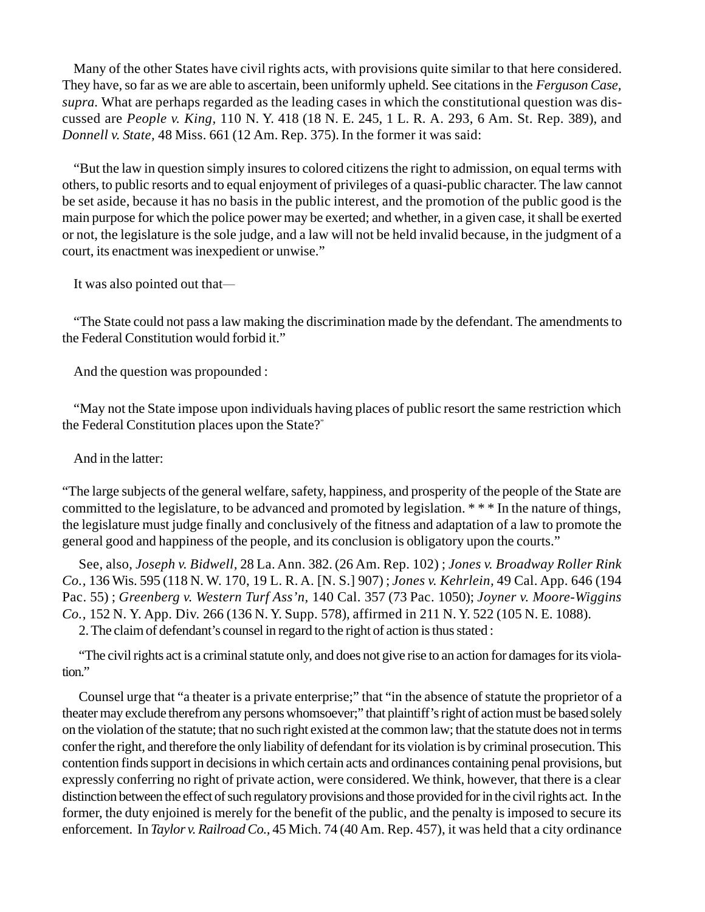Many of the other States have civil rights acts, with provisions quite similar to that here considered. They have, so far as we are able to ascertain, been uniformly upheld. See citations in the *Ferguson Case, supra.* What are perhaps regarded as the leading cases in which the constitutional question was discussed are *People v. King,* 110 N. Y. 418 (18 N. E. 245, 1 L. R. A. 293, 6 Am. St. Rep. 389), and *Donnell v. State,* 48 Miss. 661 (12 Am. Rep. 375). In the former it was said:

"But the law in question simply insures to colored citizens the right to admission, on equal terms with others, to public resorts and to equal enjoyment of privileges of a quasi-public character. The law cannot be set aside, because it has no basis in the public interest, and the promotion of the public good is the main purpose for which the police power may be exerted; and whether, in a given case, it shall be exerted or not, the legislature is the sole judge, and a law will not be held invalid because, in the judgment of a court, its enactment was inexpedient or unwise."

It was also pointed out that—

"The State could not pass a law making the discrimination made by the defendant. The amendments to the Federal Constitution would forbid it."

And the question was propounded :

"May not the State impose upon individuals having places of public resort the same restriction which the Federal Constitution places upon the State?"

And in the latter:

"The large subjects of the general welfare, safety, happiness, and prosperity of the people of the State are committed to the legislature, to be advanced and promoted by legislation. \* \* \* In the nature of things, the legislature must judge finally and conclusively of the fitness and adaptation of a law to promote the general good and happiness of the people, and its conclusion is obligatory upon the courts."

See, also, *Joseph v. Bidwell,* 28 La. Ann. 382. (26 Am. Rep. 102) ; *Jones v. Broadway Roller Rink Co.,* 136 Wis. 595 (118 N. W. 170, 19 L. R. A. [N. S.] 907) ; *Jones v. Kehrlein,* 49 Cal. App. 646 (194 Pac. 55) ; *Greenberg v. Western Turf Ass'n,* 140 Cal. 357 (73 Pac. 1050); *Joyner v. Moore-Wiggins Co.,* 152 N. Y. App. Div. 266 (136 N. Y. Supp. 578), affirmed in 211 N. Y. 522 (105 N. E. 1088).

2. The claim of defendant's counsel in regard to the right of action is thus stated :

"The civil rights act is a criminal statute only, and does not give rise to an action for damages for its violation."

Counsel urge that "a theater is a private enterprise;" that "in the absence of statute the proprietor of a theater may exclude therefrom any persons whomsoever;" that plaintiff's right of action must be based solely on the violation of the statute; that no such right existed at the common law; that the statute does not in terms confer the right, and therefore the only liability of defendant for its violation is by criminal prosecution. This contention finds support in decisions in which certain acts and ordinances containing penal provisions, but expressly conferring no right of private action, were considered. We think, however, that there is a clear distinction between the effect of such regulatory provisions and those provided for in the civil rights act. In the former, the duty enjoined is merely for the benefit of the public, and the penalty is imposed to secure its enforcement. In *Taylor v. Railroad Co.,* 45 Mich. 74 (40 Am. Rep. 457), it was held that a city ordinance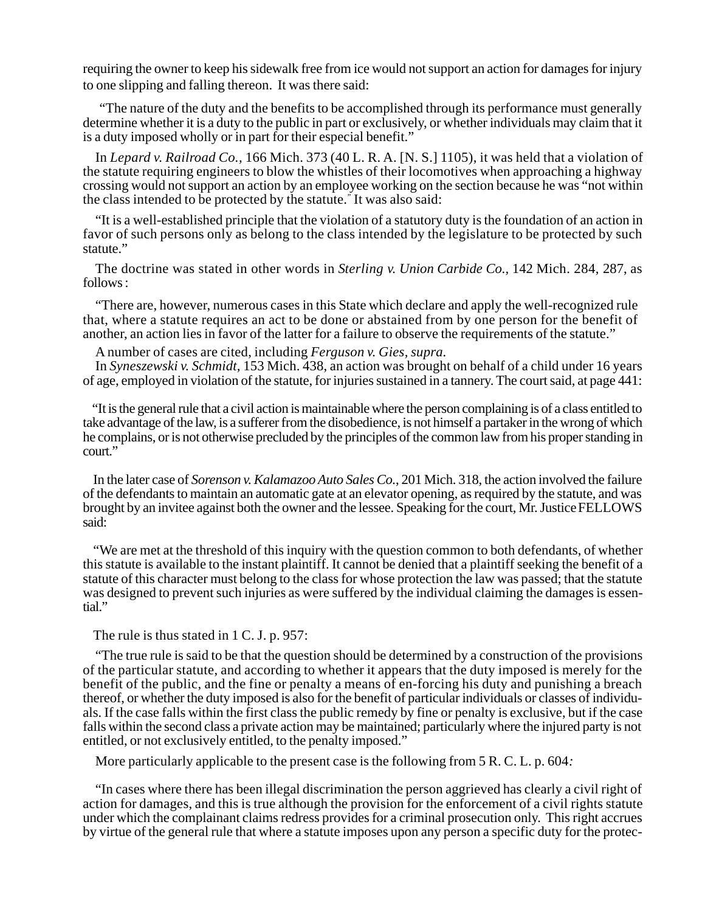requiring the owner to keep his sidewalk free from ice would not support an action for damages for injury to one slipping and falling thereon. It was there said:

"The nature of the duty and the benefits to be accomplished through its performance must generally determine whether it is a duty to the public in part or exclusively, or whether individuals may claim that it is a duty imposed wholly or in part for their especial benefit."

In *Lepard v. Railroad Co.,* 166 Mich. 373 (40 L. R. A. [N. S.] 1105), it was held that a violation of the statute requiring engineers to blow the whistles of their locomotives when approaching a highway crossing would not support an action by an employee working on the section because he was "not within the class intended to be protected by the statute." It was also said:

"It is a well-established principle that the violation of a statutory duty is the foundation of an action in favor of such persons only as belong to the class intended by the legislature to be protected by such statute."

The doctrine was stated in other words in *Sterling v. Union Carbide Co.,* 142 Mich. 284, 287, as follows :

"There are, however, numerous cases in this State which declare and apply the well-recognized rule that, where a statute requires an act to be done or abstained from by one person for the benefit of another, an action lies in favor of the latter for a failure to observe the requirements of the statute."

A number of cases are cited, including *Ferguson v. Gies, supra.*

In *Syneszewski v. Schmidt,* 153 Mich. 438, an action was brought on behalf of a child under 16 years of age, employed in violation of the statute, for injuries sustained in a tannery. The court said, at page 441:

 "It is the general rule that a civil action is maintainable where the person complaining is of a class entitled to take advantage of the law, is a sufferer from the disobedience, is not himself a partaker in the wrong of which he complains, or is not otherwise precluded by the principles of the common law from his proper standing in court."

In the later case of *Sorenson v. Kalamazoo Auto Sales Co.*, 201 Mich. 318, the action involved the failure of the defendants to maintain an automatic gate at an elevator opening, as required by the statute, and was brought by an invitee against both the owner and the lessee. Speaking for the court, Mr. Justice FELLOWS said:

"We are met at the threshold of this inquiry with the question common to both defendants, of whether this statute is available to the instant plaintiff. It cannot be denied that a plaintiff seeking the benefit of a statute of this character must belong to the class for whose protection the law was passed; that the statute was designed to prevent such injuries as were suffered by the individual claiming the damages is essential."

The rule is thus stated in 1 C. J. p. 957:

"The true rule is said to be that the question should be determined by a construction of the provisions of the particular statute, and according to whether it appears that the duty imposed is merely for the benefit of the public, and the fine or penalty a means of en-forcing his duty and punishing a breach thereof, or whether the duty imposed is also for the benefit of particular individuals or classes of individuals. If the case falls within the first class the public remedy by fine or penalty is exclusive, but if the case falls within the second class a private action may be maintained; particularly where the injured party is not entitled, or not exclusively entitled, to the penalty imposed."

More particularly applicable to the present case is the following from 5 R. C. L. p. 604*:*

"In cases where there has been illegal discrimination the person aggrieved has clearly a civil right of action for damages, and this is true although the provision for the enforcement of a civil rights statute under which the complainant claims redress provides for a criminal prosecution only. This right accrues by virtue of the general rule that where a statute imposes upon any person a specific duty for the protec